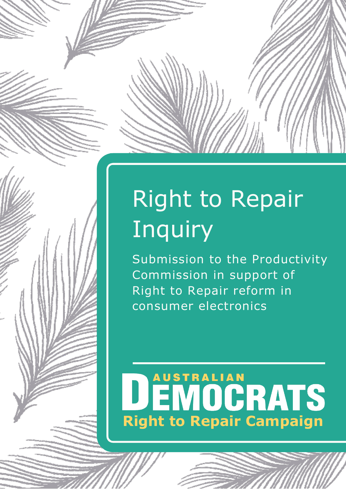# Right to Repair Inquiry

Submission to the Productivity Commission in support of Right to Repair reform in consumer electronics

# DEMOCRATS **Right to Repair Campaign**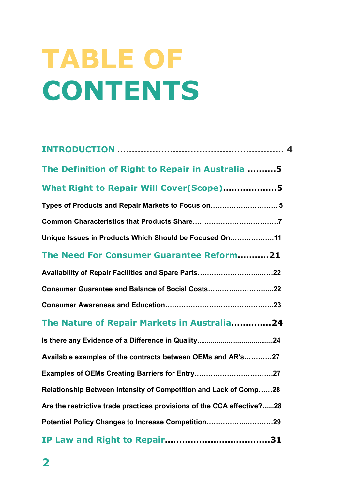# **TABLE OF CONTENTS**

| The Definition of Right to Repair in Australia 5                       |
|------------------------------------------------------------------------|
| What Right to Repair Will Cover(Scope)5                                |
| Types of Products and Repair Markets to Focus on5                      |
|                                                                        |
| Unique Issues in Products Which Should be Focused On11                 |
| The Need For Consumer Guarantee Reform21                               |
|                                                                        |
| Consumer Guarantee and Balance of Social Costs22                       |
|                                                                        |
| The Nature of Repair Markets in Australia24                            |
|                                                                        |
| Available examples of the contracts between OEMs and AR's27            |
|                                                                        |
| Relationship Between Intensity of Competition and Lack of Comp28       |
| Are the restrictive trade practices provisions of the CCA effective?28 |
| Potential Policy Changes to Increase Competition29                     |
|                                                                        |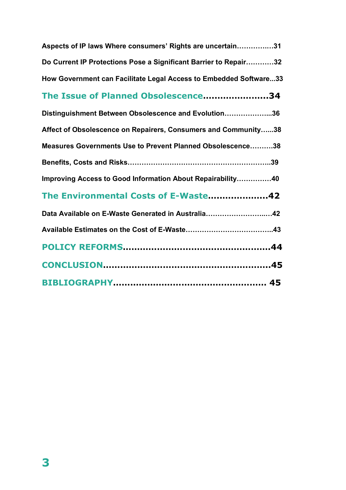| Aspects of IP laws Where consumers' Rights are uncertain31        |  |
|-------------------------------------------------------------------|--|
| Do Current IP Protections Pose a Significant Barrier to Repair32  |  |
| How Government can Facilitate Legal Access to Embedded Software33 |  |
| The Issue of Planned Obsolescence34                               |  |
| Distinguishment Between Obsolescence and Evolution36              |  |
| Affect of Obsolescence on Repairers, Consumers and Community38    |  |
| Measures Governments Use to Prevent Planned Obsolescence38        |  |
|                                                                   |  |
| Improving Access to Good Information About Repairability40        |  |
| The Environmental Costs of E-Waste42                              |  |
| Data Available on E-Waste Generated in Australia42                |  |
|                                                                   |  |
|                                                                   |  |
|                                                                   |  |
|                                                                   |  |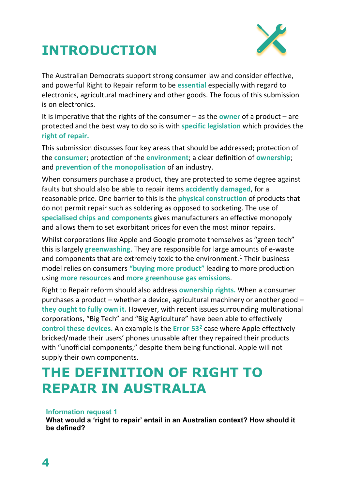



The Australian Democrats support strong consumer law and consider effective, and powerful Right to Repair reform to be **essential** especially with regard to electronics, agricultural machinery and other goods. The focus of this submission is on electronics.

It is imperative that the rights of the consumer – as the **owner** of a product – are protected and the best way to do so is with **specific legislation** which provides the **right of repair.** 

This submission discusses four key areas that should be addressed; protection of the **consumer**; protection of the **environment**; a clear definition of **ownership**; and **prevention of the monopolisation** of an industry.

When consumers purchase a product, they are protected to some degree against faults but should also be able to repair items **accidently damaged**, for a reasonable price. One barrier to this is the **physical construction** of products that do not permit repair such as soldering as opposed to socketing. The use of **specialised chips and components** gives manufacturers an effective monopoly and allows them to set exorbitant prices for even the most minor repairs.

Whilst corporations like Apple and Google promote themselves as "green tech" this is largely **greenwashing**. They are responsible for large amounts of e-waste and components that are extremely toxic to the environment.<sup>[1](#page-5-0)</sup> Their business model relies on consumers **"buying more product"** leading to more production using **more resources** and **more greenhouse gas emissions**.

Right to Repair reform should also address **ownership rights.** When a consumer purchases a product – whether a device, agricultural machinery or another good – **they ought to fully own it.** However, with recent issues surrounding multinational corporations, "Big Tech" and "Big Agriculture" have been able to effectively **control these devices.** An example is the **Error 53[2](#page-5-1)** case where Apple effectively bricked/made their users' phones unusable after they repaired their products with "unofficial components," despite them being functional. Apple will not supply their own components.

# **THE DEFINITION OF RIGHT TO REPAIR IN AUSTRALIA**

#### **Information request 1**

**What would a 'right to repair' entail in an Australian context? How should it be defined?**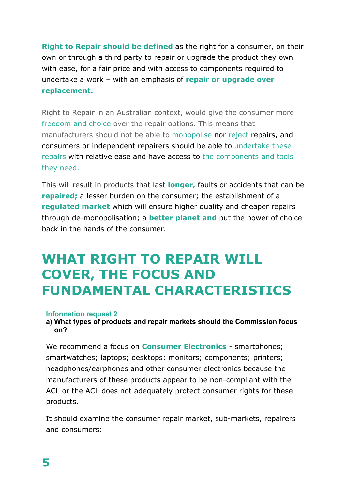**Right to Repair should be defined** as the right for a consumer, on their own or through a third party to repair or upgrade the product they own with ease, for a fair price and with access to components required to undertake a work – with an emphasis of **repair or upgrade over replacement.**

Right to Repair in an Australian context, would give the consumer more freedom and choice over the repair options. This means that manufacturers should not be able to monopolise nor reject repairs, and consumers or independent repairers should be able to undertake these repairs with relative ease and have access to the components and tools they need.

This will result in products that last **longer,** faults or accidents that can be **repaired;** a lesser burden on the consumer; the establishment of a **regulated market** which will ensure higher quality and cheaper repairs through de-monopolisation; a **better planet and** put the power of choice back in the hands of the consumer.

# **WHAT RIGHT TO REPAIR WILL COVER, THE FOCUS AND FUNDAMENTAL CHARACTERISTICS**

#### **Information request 2**

**a) What types of products and repair markets should the Commission focus on?**

We recommend a focus on **Consumer Electronics** - smartphones; smartwatches; laptops; desktops; monitors; components; printers; headphones/earphones and other consumer electronics because the manufacturers of these products appear to be non-compliant with the ACL or the ACL does not adequately protect consumer rights for these products.

It should examine the consumer repair market, sub-markets, repairers and consumers: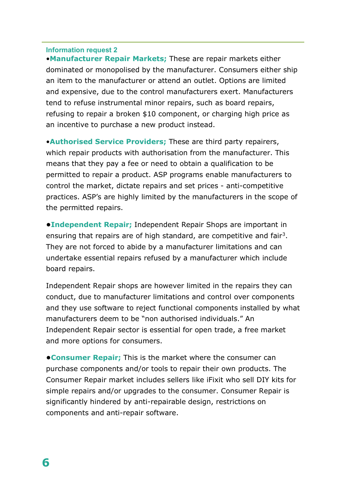•**Manufacturer Repair Markets;** These are repair markets either dominated or monopolised by the manufacturer. Consumers either ship an item to the manufacturer or attend an outlet. Options are limited and expensive, due to the control manufacturers exert. Manufacturers tend to refuse instrumental minor repairs, such as board repairs, refusing to repair a broken \$10 component, or charging high price as an incentive to purchase a new product instead.

<span id="page-5-2"></span><span id="page-5-1"></span><span id="page-5-0"></span>•**Authorised Service Providers;** These are third party repairers, which repair products with authorisation from the manufacturer. This means that they pay a fee or need to obtain a qualification to be permitted to repair a product. ASP programs enable manufacturers to control the market, dictate repairs and set prices - anti-competitive practices. ASP's are highly limited by the manufacturers in the scope of the permitted repairs.

<span id="page-5-4"></span><span id="page-5-3"></span>**•Independent Repair;** Independent Repair Shops are important in ensuring that repairs are of high standard, are competitive and fair<sup>[3](#page-5-2)</sup>. They are not forced to abide by a manufacturer limitations and can undertake essential repairs refused by a manufacturer which include board repairs.

<span id="page-5-7"></span><span id="page-5-6"></span><span id="page-5-5"></span>Independent Repair shops are however limited in the repairs they can conduct, due to manufacturer limitations and control over components and they use software to reject functional components installed by what manufacturers deem to be "non authorised individuals." An Independent Repair sector is essential for open trade, a free market and more options for consumers.

<span id="page-5-9"></span><span id="page-5-8"></span>**•Consumer Repair;** This is the market where the consumer can purchase components and/or tools to repair their own products. The Consumer Repair market includes sellers like iFixit who sell DIY kits for simple repairs and/or upgrades to the consumer. Consumer Repair is significantly hindered by anti-repairable design, restrictions on components and anti-repair software.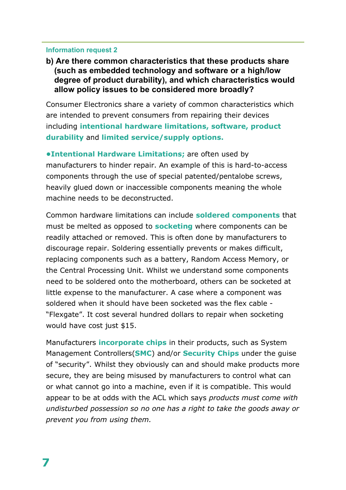## <span id="page-6-0"></span>**b) Are there common characteristics that these products share (such as embedded technology and software or a high/low degree of product durability), and which characteristics would allow policy issues to be considered more broadly?**

<span id="page-6-2"></span><span id="page-6-1"></span>Consumer Electronics share a variety of common characteristics which are intended to prevent consumers from repairing their devices including **intentional hardware limitations, software, product durability** and **limited service/supply options.** 

<span id="page-6-4"></span><span id="page-6-3"></span>**•Intentional Hardware Limitations;** are often used by manufacturers to hinder repair. An example of this is hard-to-access components through the use of special patented/pentalobe screws, heavily glued down or inaccessible components meaning the whole machine needs to be deconstructed.

<span id="page-6-6"></span><span id="page-6-5"></span>Common hardware limitations can include **soldered components** that must be melted as opposed to **socketing** where components can be readily attached or removed. This is often done by manufacturers to discourage repair. Soldering essentially prevents or makes difficult, replacing components such as a battery, Random Access Memory, or the Central Processing Unit. Whilst we understand some components need to be soldered onto the motherboard, others can be socketed at little expense to the manufacturer. A case where a component was soldered when it should have been socketed was the flex cable - "Flexgate". It cost several hundred dollars to repair when socketing would have cost just \$15.

<span id="page-6-10"></span><span id="page-6-9"></span><span id="page-6-8"></span><span id="page-6-7"></span>Manufacturers **incorporate chips** in their products, such as System Management Controllers(**SMC**) and/or **Security Chips** under the guise of "security". Whilst they obviously can and should make products more secure, they are being misused by manufacturers to control what can or what cannot go into a machine, even if it is compatible. This would appear to be at odds with the ACL which says *products must come with undisturbed possession so no one has a right to take the goods away or prevent you from using them.*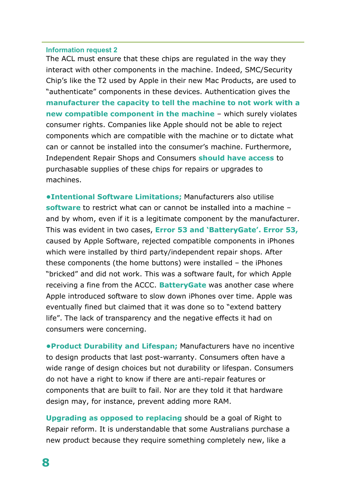<span id="page-7-2"></span><span id="page-7-1"></span><span id="page-7-0"></span>The ACL must ensure that these chips are regulated in the way they interact with other components in the machine. Indeed, SMC/Security Chip's like the T2 used by Apple in their new Mac Products, are used to "authenticate" components in these devices. Authentication gives the **manufacturer the capacity to tell the machine to not work with a new compatible component in the machine** – which surely violates consumer rights. Companies like Apple should not be able to reject components which are compatible with the machine or to dictate what can or cannot be installed into the consumer's machine. Furthermore, Independent Repair Shops and Consumers **should have access** to purchasable supplies of these chips for repairs or upgrades to machines.

<span id="page-7-6"></span><span id="page-7-5"></span><span id="page-7-4"></span><span id="page-7-3"></span>**•Intentional Software Limitations;** Manufacturers also utilise **software** to restrict what can or cannot be installed into a machine – and by whom, even if it is a legitimate component by the manufacturer. This was evident in two cases, **Error 53 and 'BatteryGate'. Error 53,**  caused by Apple Software, rejected compatible components in iPhones which were installed by third party/independent repair shops. After these components (the home buttons) were installed – the iPhones "bricked" and did not work. This was a software fault, for which Apple receiving a fine from the ACCC. **BatteryGate** was another case where Apple introduced software to slow down iPhones over time. Apple was eventually fined but claimed that it was done so to "extend battery life". The lack of transparency and the negative effects it had on consumers were concerning.

<span id="page-7-10"></span><span id="page-7-9"></span><span id="page-7-8"></span><span id="page-7-7"></span>**•Product Durability and Lifespan;** Manufacturers have no incentive to design products that last post-warranty. Consumers often have a wide range of design choices but not durability or lifespan. Consumers do not have a right to know if there are anti-repair features or components that are built to fail. Nor are they told it that hardware design may, for instance, prevent adding more RAM.

<span id="page-7-11"></span>**Upgrading as opposed to replacing** should be a goal of Right to Repair reform. It is understandable that some Australians purchase a new product because they require something completely new, like a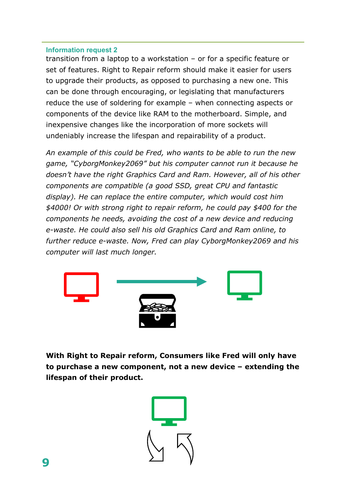transition from a laptop to a workstation – or for a specific feature or set of features. Right to Repair reform should make it easier for users to upgrade their products, as opposed to purchasing a new one. This can be done through encouraging, or legislating that manufacturers reduce the use of soldering for example – when connecting aspects or components of the device like RAM to the motherboard. Simple, and inexpensive changes like the incorporation of more sockets will undeniably increase the lifespan and repairability of a product.

*An example of this could be Fred, who wants to be able to run the new game, "CyborgMonkey2069" but his computer cannot run it because he doesn't have the right Graphics Card and Ram. However, all of his other components are compatible (a good SSD, great CPU and fantastic display). He can replace the entire computer, which would cost him \$4000! Or with strong right to repair reform, he could pay \$400 for the components he needs, avoiding the cost of a new device and reducing e-waste. He could also sell his old Graphics Card and Ram online, to further reduce e-waste. Now, Fred can play CyborgMonkey2069 and his computer will last much longer.*



**With Right to Repair reform, Consumers like Fred will only have to purchase a new component, not a new device – extending the lifespan of their product.** 

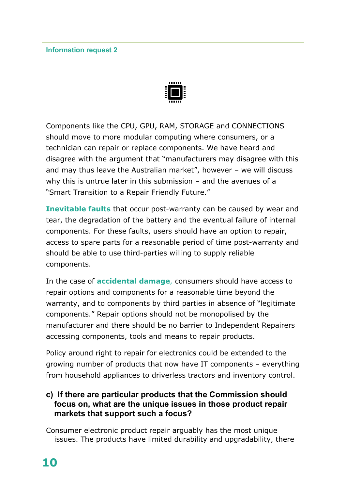

Components like the CPU, GPU, RAM, STORAGE and CONNECTIONS should move to more modular computing where consumers, or a technician can repair or replace components. We have heard and disagree with the argument that "manufacturers may disagree with this and may thus leave the Australian market", however – we will discuss why this is untrue later in this submission – and the avenues of a "Smart Transition to a Repair Friendly Future."

**Inevitable faults** that occur post-warranty can be caused by wear and tear, the degradation of the battery and the eventual failure of internal components. For these faults, users should have an option to repair, access to spare parts for a reasonable period of time post-warranty and should be able to use third-parties willing to supply reliable components.

In the case of **accidental damage**, consumers should have access to repair options and components for a reasonable time beyond the warranty, and to components by third parties in absence of "legitimate components." Repair options should not be monopolised by the manufacturer and there should be no barrier to Independent Repairers accessing components, tools and means to repair products.

Policy around right to repair for electronics could be extended to the growing number of products that now have IT components – everything from household appliances to driverless tractors and inventory control.

# **c) If there are particular products that the Commission should focus on, what are the unique issues in those product repair markets that support such a focus?**

Consumer electronic product repair arguably has the most unique issues. The products have limited durability and upgradability, there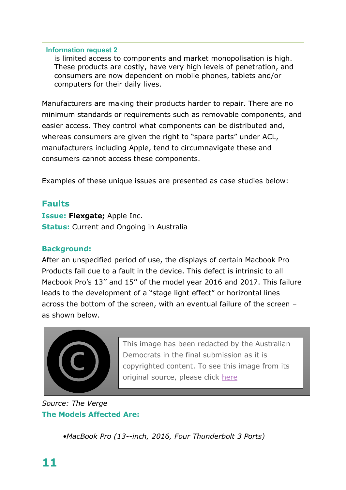is limited access to components and market monopolisation is high. These products are costly, have very high levels of penetration, and consumers are now dependent on mobile phones, tablets and/or computers for their daily lives.

Manufacturers are making their products harder to repair. There are no minimum standards or requirements such as removable components, and easier access. They control what components can be distributed and, whereas consumers are given the right to "spare parts" under ACL, manufacturers including Apple, tend to circumnavigate these and consumers cannot access these components.

Examples of these unique issues are presented as case studies below:

# **Faults**

**Issue: Flexgate;** Apple Inc. **Status:** Current and Ongoing in Australia

### **Background:**

After an unspecified period of use, the displays of certain Macbook Pro Products fail due to a fault in the device. This defect is intrinsic to all Macbook Pro's 13'' and 15'' of the model year 2016 and 2017. This failure leads to the development of a "stage light effect" or horizontal lines across the bottom of the screen, with an eventual failure of the screen – as shown below.



This image has been redacted by the Australian Democrats in the final submission as it is copyrighted content. To see this image from its original source, please click [here](https://www.theverge.com/2019/3/5/18251264/macbopro-2018-flexgate-fix-display-cable-2mm-longer)

# *Source: The Verge* **The Models Affected Are:**

*•MacBook Pro (13--inch, 2016, Four Thunderbolt 3 Ports)*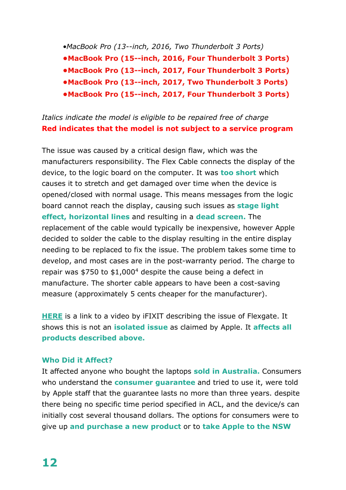*•MacBook Pro (13--inch, 2016, Two Thunderbolt 3 Ports)* 

**•MacBook Pro (15--inch, 2016, Four Thunderbolt 3 Ports)**

**•MacBook Pro (13--inch, 2017, Four Thunderbolt 3 Ports)**

**•MacBook Pro (13--inch, 2017, Two Thunderbolt 3 Ports)**

**•MacBook Pro (15--inch, 2017, Four Thunderbolt 3 Ports)**

# *Italics indicate the model is eligible to be repaired free of charge* **Red indicates that the model is not subject to a service program**

The issue was caused by a critical design flaw, which was the manufacturers responsibility. The Flex Cable connects the display of the device, to the logic board on the computer. It was **too short** which causes it to stretch and get damaged over time when the device is opened/closed with normal usage. This means messages from the logic board cannot reach the display, causing such issues as **stage light effect, horizontal lines** and resulting in a **dead screen.** The replacement of the cable would typically be inexpensive, however Apple decided to solder the cable to the display resulting in the entire display needing to be replaced to fix the issue. The problem takes some time to develop, and most cases are in the post-warranty period. The charge to repair was \$750 to \$1,000[4](#page-5-3) despite the cause being a defect in manufacture. The shorter cable appears to have been a cost-saving measure (approximately 5 cents cheaper for the manufacturer).

**[HERE](https://www.ifixit.com/News/12903/flexgate)** is a link to a video by iFIXIT describing the issue of Flexgate. It shows this is not an **isolated issue** as claimed by Apple. It **affects all products described above.**

# **Who Did it Affect?**

It affected anyone who bought the laptops **sold in Australia.** Consumers who understand the **consumer guarantee** and tried to use it, were told by Apple staff that the guarantee lasts no more than three years. despite there being no specific time period specified in ACL, and the device/s can initially cost several thousand dollars. The options for consumers were to give up **and purchase a new product** or to **take Apple to the NSW**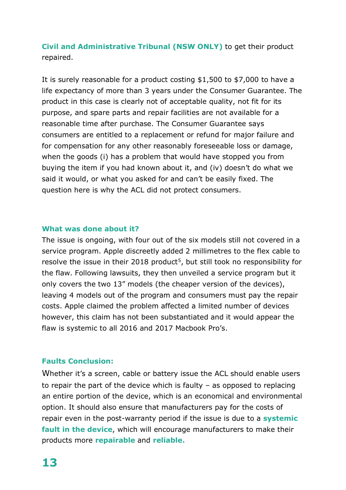**Civil and Administrative Tribunal (NSW ONLY)** to get their product repaired.

It is surely reasonable for a product costing \$1,500 to \$7,000 to have a life expectancy of more than 3 years under the Consumer Guarantee. The product in this case is clearly not of acceptable quality, not fit for its purpose, and spare parts and repair facilities are not available for a reasonable time after purchase. The Consumer Guarantee says consumers are entitled to a replacement or refund for major failure and for compensation for any other reasonably foreseeable loss or damage, when the goods (i) has a problem that would have stopped you from buying the item if you had known about it, and (iv) doesn't do what we said it would, or what you asked for and can't be easily fixed. The question here is why the ACL did not protect consumers.

#### **What was done about it?**

The issue is ongoing, with four out of the six models still not covered in a service program. Apple discreetly added 2 millimetres to the flex cable to resolve the issue in their 2018 product<sup>5</sup>, but still took no responsibility for the flaw. Following lawsuits, they then unveiled a service program but it only covers the two 13" models (the cheaper version of the devices), leaving 4 models out of the program and consumers must pay the repair costs. Apple claimed the problem affected a limited number of devices however, this claim has not been substantiated and it would appear the flaw is systemic to all 2016 and 2017 Macbook Pro's.

#### **Faults Conclusion:**

Whether it's a screen, cable or battery issue the ACL should enable users to repair the part of the device which is faulty – as opposed to replacing an entire portion of the device, which is an economical and environmental option. It should also ensure that manufacturers pay for the costs of repair even in the post-warranty period if the issue is due to a **systemic fault in the device**, which will encourage manufacturers to make their products more **repairable** and **reliable.**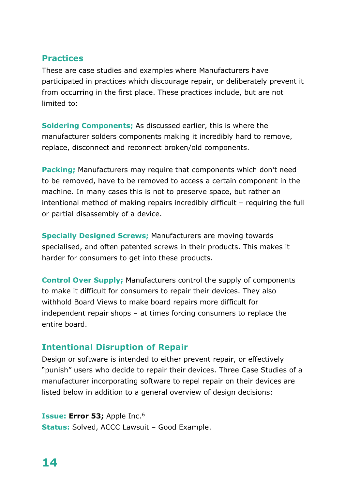# **Practices**

These are case studies and examples where Manufacturers have participated in practices which discourage repair, or deliberately prevent it from occurring in the first place. These practices include, but are not limited to:

**Soldering Components;** As discussed earlier, this is where the manufacturer solders components making it incredibly hard to remove, replace, disconnect and reconnect broken/old components.

**Packing;** Manufacturers may require that components which don't need to be removed, have to be removed to access a certain component in the machine. In many cases this is not to preserve space, but rather an intentional method of making repairs incredibly difficult – requiring the full or partial disassembly of a device.

**Specially Designed Screws;** Manufacturers are moving towards specialised, and often patented screws in their products. This makes it harder for consumers to get into these products.

**Control Over Supply;** Manufacturers control the supply of components to make it difficult for consumers to repair their devices. They also withhold Board Views to make board repairs more difficult for independent repair shops – at times forcing consumers to replace the entire board.

# **Intentional Disruption of Repair**

Design or software is intended to either prevent repair, or effectively "punish" users who decide to repair their devices. Three Case Studies of a manufacturer incorporating software to repel repair on their devices are listed below in addition to a general overview of design decisions:

**Issue: Error 53; Apple Inc.<sup>[6](#page-5-5)</sup> Status:** Solved, ACCC Lawsuit – Good Example.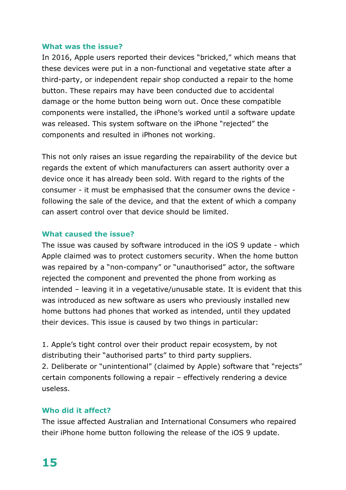#### **What was the issue?**

In 2016, Apple users reported their devices "bricked," which means that these devices were put in a non-functional and vegetative state after a third-party, or independent repair shop conducted a repair to the home button. These repairs may have been conducted due to accidental damage or the home button being worn out. Once these compatible components were installed, the iPhone's worked until a software update was released. This system software on the iPhone "rejected" the components and resulted in iPhones not working.

This not only raises an issue regarding the repairability of the device but regards the extent of which manufacturers can assert authority over a device once it has already been sold. With regard to the rights of the consumer - it must be emphasised that the consumer owns the device following the sale of the device, and that the extent of which a company can assert control over that device should be limited.

#### **What caused the issue?**

The issue was caused by software introduced in the iOS 9 update - which Apple claimed was to protect customers security. When the home button was repaired by a "non-company" or "unauthorised" actor, the software rejected the component and prevented the phone from working as intended – leaving it in a vegetative/unusable state. It is evident that this was introduced as new software as users who previously installed new home buttons had phones that worked as intended, until they updated their devices. This issue is caused by two things in particular:

1. Apple's tight control over their product repair ecosystem, by not distributing their "authorised parts" to third party suppliers. 2. Deliberate or "unintentional" (claimed by Apple) software that "rejects" certain components following a repair – effectively rendering a device useless.

## **Who did it affect?**

The issue affected Australian and International Consumers who repaired their iPhone home button following the release of the iOS 9 update.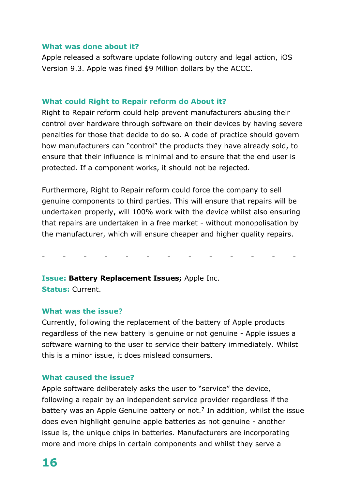#### **What was done about it?**

Apple released a software update following outcry and legal action, iOS Version 9.3. Apple was fined \$9 Million dollars by the ACCC.

#### **What could Right to Repair reform do About it?**

Right to Repair reform could help prevent manufacturers abusing their control over hardware through software on their devices by having severe penalties for those that decide to do so. A code of practice should govern how manufacturers can "control" the products they have already sold, to ensure that their influence is minimal and to ensure that the end user is protected. If a component works, it should not be rejected.

Furthermore, Right to Repair reform could force the company to sell genuine components to third parties. This will ensure that repairs will be undertaken properly, will 100% work with the device whilst also ensuring that repairs are undertaken in a free market - without monopolisation by the manufacturer, which will ensure cheaper and higher quality repairs.

- - - - - - - - - - - - -

**Issue: Battery Replacement Issues;** Apple Inc. **Status:** Current.

#### **What was the issue?**

Currently, following the replacement of the battery of Apple products regardless of the new battery is genuine or not genuine - Apple issues a software warning to the user to service their battery immediately. Whilst this is a minor issue, it does mislead consumers.

#### **What caused the issue?**

Apple software deliberately asks the user to "service" the device, following a repair by an independent service provider regardless if the battery was an Apple Genuine battery or not.<sup>[7](#page-5-6)</sup> In addition, whilst the issue does even highlight genuine apple batteries as not genuine - another issue is, the unique chips in batteries. Manufacturers are incorporating more and more chips in certain components and whilst they serve a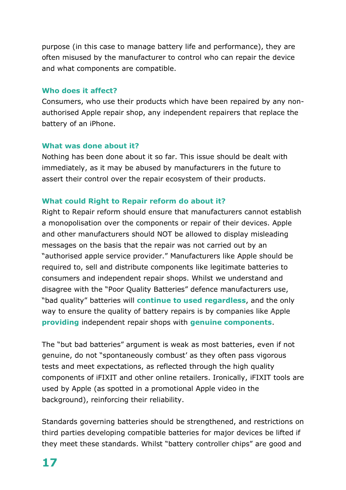purpose (in this case to manage battery life and performance), they are often misused by the manufacturer to control who can repair the device and what components are compatible.

### **Who does it affect?**

Consumers, who use their products which have been repaired by any nonauthorised Apple repair shop, any independent repairers that replace the battery of an iPhone.

#### **What was done about it?**

Nothing has been done about it so far. This issue should be dealt with immediately, as it may be abused by manufacturers in the future to assert their control over the repair ecosystem of their products.

## **What could Right to Repair reform do about it?**

Right to Repair reform should ensure that manufacturers cannot establish a monopolisation over the components or repair of their devices. Apple and other manufacturers should NOT be allowed to display misleading messages on the basis that the repair was not carried out by an "authorised apple service provider." Manufacturers like Apple should be required to, sell and distribute components like legitimate batteries to consumers and independent repair shops. Whilst we understand and disagree with the "Poor Quality Batteries" defence manufacturers use, "bad quality" batteries will **continue to used regardless**, and the only way to ensure the quality of battery repairs is by companies like Apple **providing** independent repair shops with **genuine components**.

The "but bad batteries" argument is weak as most batteries, even if not genuine, do not "spontaneously combust' as they often pass vigorous tests and meet expectations, as reflected through the high quality components of iFIXIT and other online retailers. Ironically, iFIXIT tools are used by Apple (as spotted in a promotional Apple video in the background), reinforcing their reliability.

Standards governing batteries should be strengthened, and restrictions on third parties developing compatible batteries for major devices be lifted if they meet these standards. Whilst "battery controller chips" are good and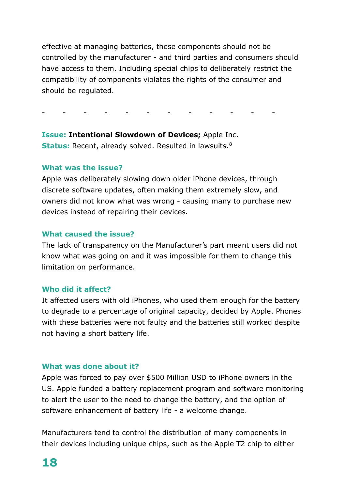effective at managing batteries, these components should not be controlled by the manufacturer - and third parties and consumers should have access to them. Including special chips to deliberately restrict the compatibility of components violates the rights of the consumer and should be regulated.

- - - - - - - - - - - -

**Issue: Intentional Slowdown of Devices;** Apple Inc. **Status:** Recent, already solved. Resulted in lawsuits.<sup>[8](#page-5-7)</sup>

#### **What was the issue?**

Apple was deliberately slowing down older iPhone devices, through discrete software updates, often making them extremely slow, and owners did not know what was wrong - causing many to purchase new devices instead of repairing their devices.

#### **What caused the issue?**

The lack of transparency on the Manufacturer's part meant users did not know what was going on and it was impossible for them to change this limitation on performance.

#### **Who did it affect?**

It affected users with old iPhones, who used them enough for the battery to degrade to a percentage of original capacity, decided by Apple. Phones with these batteries were not faulty and the batteries still worked despite not having a short battery life.

#### **What was done about it?**

Apple was forced to pay over \$500 Million USD to iPhone owners in the US. Apple funded a battery replacement program and software monitoring to alert the user to the need to change the battery, and the option of software enhancement of battery life - a welcome change.

Manufacturers tend to control the distribution of many components in their devices including unique chips, such as the Apple T2 chip to either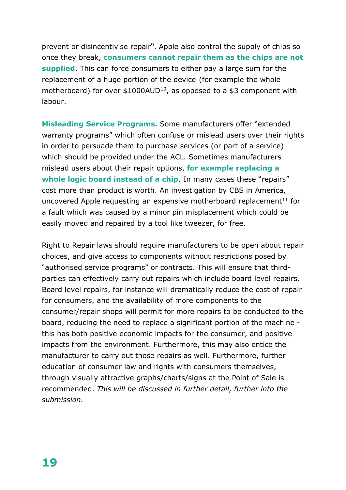prevent or disincentivise repair<sup>9</sup>. Apple also control the supply of chips so once they break, **consumers cannot repair them as the chips are not supplied**. This can force consumers to either pay a large sum for the replacement of a huge portion of the device (for example the whole motherboard) for over  $$1000AUD^{10}$  $$1000AUD^{10}$  $$1000AUD^{10}$ , as opposed to a \$3 component with labour.

**Misleading Service Programs.** Some manufacturers offer "extended warranty programs" which often confuse or mislead users over their rights in order to persuade them to purchase services (or part of a service) which should be provided under the ACL. Sometimes manufacturers mislead users about their repair options, **for example replacing a whole logic board instead of a chip**. In many cases these "repairs" cost more than product is worth. An investigation by CBS in America, uncovered Apple requesting an expensive motherboard replacement<sup>[11](#page-6-0)</sup> for a fault which was caused by a minor pin misplacement which could be easily moved and repaired by a tool like tweezer, for free.

Right to Repair laws should require manufacturers to be open about repair choices, and give access to components without restrictions posed by "authorised service programs" or contracts. This will ensure that thirdparties can effectively carry out repairs which include board level repairs. Board level repairs, for instance will dramatically reduce the cost of repair for consumers, and the availability of more components to the consumer/repair shops will permit for more repairs to be conducted to the board, reducing the need to replace a significant portion of the machine this has both positive economic impacts for the consumer, and positive impacts from the environment. Furthermore, this may also entice the manufacturer to carry out those repairs as well. Furthermore, further education of consumer law and rights with consumers themselves, through visually attractive graphs/charts/signs at the Point of Sale is recommended. *This will be discussed in further detail, further into the submission.*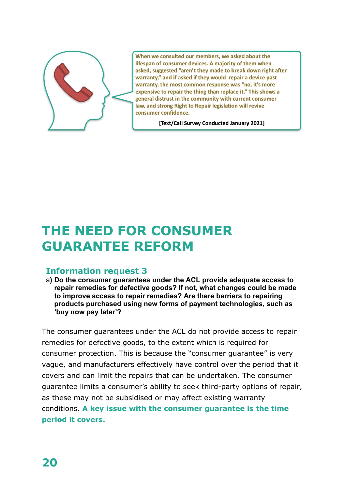

When we consulted our members, we asked about the lifespan of consumer devices. A majority of them when asked, suggested "aren't they made to break down right after warranty," and if asked if they would repair a device past warranty, the most common response was "no, it's more expensive to repair the thing than replace it." This shows a general distrust in the community with current consumer law, and strong Right to Repair legislation will revive consumer confidence.

[Text/Call Survey Conducted January 2021]

# **THE NEED FOR CONSUMER GUARANTEE REFORM**

# **Information request 3**

a**) Do the consumer guarantees under the ACL provide adequate access to repair remedies for defective goods? If not, what changes could be made to improve access to repair remedies? Are there barriers to repairing products purchased using new forms of payment technologies, such as 'buy now pay later'?**

The consumer guarantees under the ACL do not provide access to repair remedies for defective goods, to the extent which is required for consumer protection. This is because the "consumer guarantee" is very vague, and manufacturers effectively have control over the period that it covers and can limit the repairs that can be undertaken. The consumer guarantee limits a consumer's ability to seek third-party options of repair, as these may not be subsidised or may affect existing warranty conditions. **A key issue with the consumer guarantee is the time period it covers.**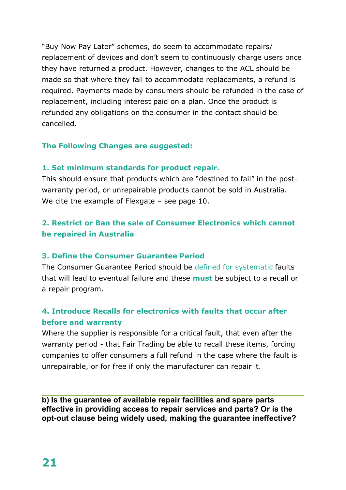"Buy Now Pay Later" schemes, do seem to accommodate repairs/ replacement of devices and don't seem to continuously charge users once they have returned a product. However, changes to the ACL should be made so that where they fail to accommodate replacements, a refund is required. Payments made by consumers should be refunded in the case of replacement, including interest paid on a plan. Once the product is refunded any obligations on the consumer in the contact should be cancelled.

## **The Following Changes are suggested:**

## **1. Set minimum standards for product repair.**

This should ensure that products which are "destined to fail" in the postwarranty period, or unrepairable products cannot be sold in Australia. We cite the example of Flexgate – see page 10.

# **2. Restrict or Ban the sale of Consumer Electronics which cannot be repaired in Australia**

## **3. Define the Consumer Guarantee Period**

The Consumer Guarantee Period should be defined for systematic faults that will lead to eventual failure and these **must** be subject to a recall or a repair program.

# **4. Introduce Recalls for electronics with faults that occur after before and warranty**

Where the supplier is responsible for a critical fault, that even after the warranty period - that Fair Trading be able to recall these items, forcing companies to offer consumers a full refund in the case where the fault is unrepairable, or for free if only the manufacturer can repair it.

**b) Is the guarantee of available repair facilities and spare parts effective in providing access to repair services and parts? Or is the opt-out clause being widely used, making the guarantee ineffective?**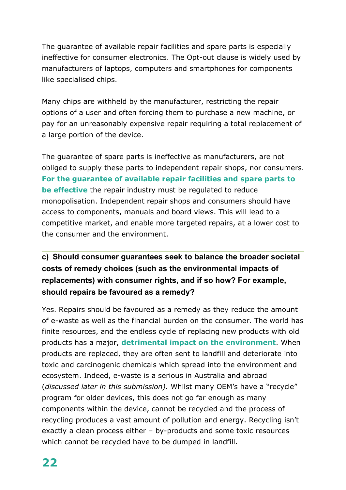The guarantee of available repair facilities and spare parts is especially ineffective for consumer electronics. The Opt-out clause is widely used by manufacturers of laptops, computers and smartphones for components like specialised chips.

Many chips are withheld by the manufacturer, restricting the repair options of a user and often forcing them to purchase a new machine, or pay for an unreasonably expensive repair requiring a total replacement of a large portion of the device.

The guarantee of spare parts is ineffective as manufacturers, are not obliged to supply these parts to independent repair shops, nor consumers. **For the guarantee of available repair facilities and spare parts to be effective** the repair industry must be regulated to reduce monopolisation. Independent repair shops and consumers should have access to components, manuals and board views. This will lead to a competitive market, and enable more targeted repairs, at a lower cost to the consumer and the environment.

# **c) Should consumer guarantees seek to balance the broader societal costs of remedy choices (such as the environmental impacts of replacements) with consumer rights, and if so how? For example, should repairs be favoured as a remedy?**

Yes. Repairs should be favoured as a remedy as they reduce the amount of e-waste as well as the financial burden on the consumer. The world has finite resources, and the endless cycle of replacing new products with old products has a major, **detrimental impact on the environment**. When products are replaced, they are often sent to landfill and deteriorate into toxic and carcinogenic chemicals which spread into the environment and ecosystem. Indeed, e-waste is a serious in Australia and abroad (*discussed later in this submission).* Whilst many OEM's have a "recycle" program for older devices, this does not go far enough as many components within the device, cannot be recycled and the process of recycling produces a vast amount of pollution and energy. Recycling isn't exactly a clean process either – by-products and some toxic resources which cannot be recycled have to be dumped in landfill.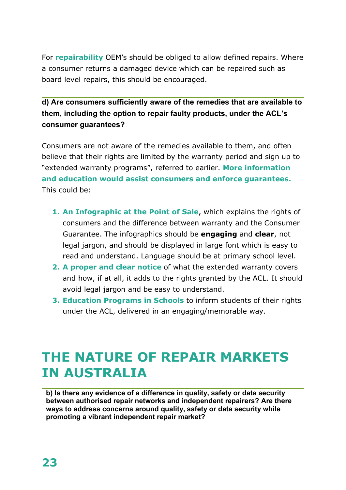For **repairability** OEM's should be obliged to allow defined repairs. Where a consumer returns a damaged device which can be repaired such as board level repairs, this should be encouraged.

**d) Are consumers sufficiently aware of the remedies that are available to them, including the option to repair faulty products, under the ACL's consumer guarantees?**

Consumers are not aware of the remedies available to them, and often believe that their rights are limited by the warranty period and sign up to "extended warranty programs", referred to earlier. **More information and education would assist consumers and enforce guarantees.**  This could be:

- **1. An Infographic at the Point of Sale**, which explains the rights of consumers and the difference between warranty and the Consumer Guarantee. The infographics should be **engaging** and **clear**, not legal jargon, and should be displayed in large font which is easy to read and understand. Language should be at primary school level.
- **2. A proper and clear notice** of what the extended warranty covers and how, if at all, it adds to the rights granted by the ACL. It should avoid legal jargon and be easy to understand.
- **3. Education Programs in Schools** to inform students of their rights under the ACL, delivered in an engaging/memorable way.

# **THE NATURE OF REPAIR MARKETS IN AUSTRALIA**

**b) Is there any evidence of a difference in quality, safety or data security between authorised repair networks and independent repairers? Are there ways to address concerns around quality, safety or data security while promoting a vibrant independent repair market?**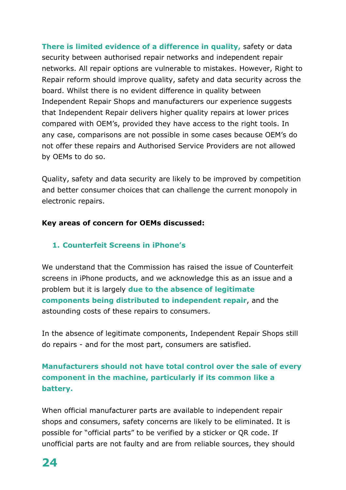**There is limited evidence of a difference in quality,** safety or data security between authorised repair networks and independent repair networks. All repair options are vulnerable to mistakes. However, Right to Repair reform should improve quality, safety and data security across the board. Whilst there is no evident difference in quality between Independent Repair Shops and manufacturers our experience suggests that Independent Repair delivers higher quality repairs at lower prices compared with OEM's, provided they have access to the right tools. In any case, comparisons are not possible in some cases because OEM's do not offer these repairs and Authorised Service Providers are not allowed by OEMs to do so.

Quality, safety and data security are likely to be improved by competition and better consumer choices that can challenge the current monopoly in electronic repairs.

# **Key areas of concern for OEMs discussed:**

# **1. Counterfeit Screens in iPhone's**

We understand that the Commission has raised the issue of Counterfeit screens in iPhone products, and we acknowledge this as an issue and a problem but it is largely **due to the absence of legitimate components being distributed to independent repair**, and the astounding costs of these repairs to consumers.

In the absence of legitimate components, Independent Repair Shops still do repairs - and for the most part, consumers are satisfied.

# **Manufacturers should not have total control over the sale of every component in the machine, particularly if its common like a battery.**

When official manufacturer parts are available to independent repair shops and consumers, safety concerns are likely to be eliminated. It is possible for "official parts" to be verified by a sticker or QR code. If unofficial parts are not faulty and are from reliable sources, they should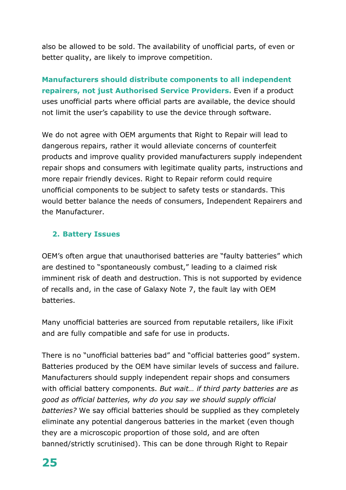also be allowed to be sold. The availability of unofficial parts, of even or better quality, are likely to improve competition.

**Manufacturers should distribute components to all independent repairers, not just Authorised Service Providers.** Even if a product uses unofficial parts where official parts are available, the device should not limit the user's capability to use the device through software.

We do not agree with OEM arguments that Right to Repair will lead to dangerous repairs, rather it would alleviate concerns of counterfeit products and improve quality provided manufacturers supply independent repair shops and consumers with legitimate quality parts, instructions and more repair friendly devices. Right to Repair reform could require unofficial components to be subject to safety tests or standards. This would better balance the needs of consumers, Independent Repairers and the Manufacturer.

# **2. Battery Issues**

OEM's often argue that unauthorised batteries are "faulty batteries" which are destined to "spontaneously combust," leading to a claimed risk imminent risk of death and destruction. This is not supported by evidence of recalls and, in the case of Galaxy Note 7, the fault lay with OEM batteries.

Many unofficial batteries are sourced from reputable retailers, like iFixit and are fully compatible and safe for use in products.

There is no "unofficial batteries bad" and "official batteries good" system. Batteries produced by the OEM have similar levels of success and failure. Manufacturers should supply independent repair shops and consumers with official battery components. *But wait… if third party batteries are as good as official batteries, why do you say we should supply official batteries?* We say official batteries should be supplied as they completely eliminate any potential dangerous batteries in the market (even though they are a microscopic proportion of those sold, and are often banned/strictly scrutinised). This can be done through Right to Repair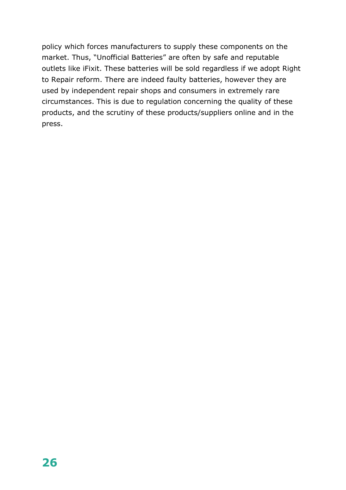policy which forces manufacturers to supply these components on the market. Thus, "Unofficial Batteries" are often by safe and reputable outlets like iFixit. These batteries will be sold regardless if we adopt Right to Repair reform. There are indeed faulty batteries, however they are used by independent repair shops and consumers in extremely rare circumstances. This is due to regulation concerning the quality of these products, and the scrutiny of these products/suppliers online and in the press.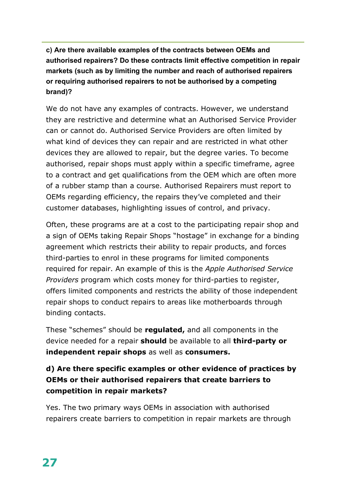**c) Are there available examples of the contracts between OEMs and authorised repairers? Do these contracts limit effective competition in repair markets (such as by limiting the number and reach of authorised repairers or requiring authorised repairers to not be authorised by a competing brand)?**

We do not have any examples of contracts. However, we understand they are restrictive and determine what an Authorised Service Provider can or cannot do. Authorised Service Providers are often limited by what kind of devices they can repair and are restricted in what other devices they are allowed to repair, but the degree varies. To become authorised, repair shops must apply within a specific timeframe, agree to a contract and get qualifications from the OEM which are often more of a rubber stamp than a course. Authorised Repairers must report to OEMs regarding efficiency, the repairs they've completed and their customer databases, highlighting issues of control, and privacy.

Often, these programs are at a cost to the participating repair shop and a sign of OEMs taking Repair Shops "hostage" in exchange for a binding agreement which restricts their ability to repair products, and forces third-parties to enrol in these programs for limited components required for repair. An example of this is the *Apple Authorised Service Providers* program which costs money for third-parties to register, offers limited components and restricts the ability of those independent repair shops to conduct repairs to areas like motherboards through binding contacts.

These "schemes" should be **regulated,** and all components in the device needed for a repair **should** be available to all **third-party or independent repair shops** as well as **consumers.**

# **d) Are there specific examples or other evidence of practices by OEMs or their authorised repairers that create barriers to competition in repair markets?**

Yes. The two primary ways OEMs in association with authorised repairers create barriers to competition in repair markets are through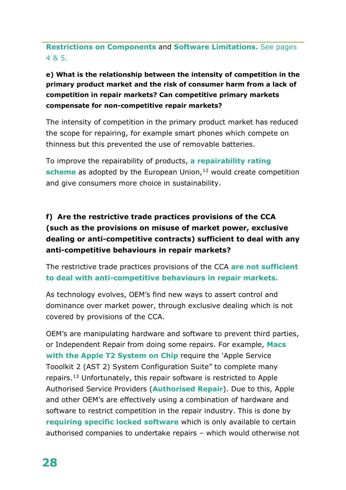**Restrictions on Components** and **Software Limitations.** See pages 4 & 5.

# **e) What is the relationship between the intensity of competition in the primary product market and the risk of consumer harm from a lack of competition in repair markets? Can competitive primary markets compensate for non-competitive repair markets?**

The intensity of competition in the primary product market has reduced the scope for repairing, for example smart phones which compete on thinness but this prevented the use of removable batteries.

To improve the repairability of products, **a repairability rating scheme** as adopted by the European Union,<sup>[12](#page-6-1)</sup> would create competition and give consumers more choice in sustainability.

# **f) Are the restrictive trade practices provisions of the CCA (such as the provisions on misuse of market power, exclusive dealing or anti-competitive contracts) sufficient to deal with any anti-competitive behaviours in repair markets?**

The restrictive trade practices provisions of the CCA **are not sufficient to deal with anti-competitive behaviours in repair markets.** 

As technology evolves, OEM's find new ways to assert control and dominance over market power, through exclusive dealing which is not covered by provisions of the CCA.

OEM's are manipulating hardware and software to prevent third parties, or Independent Repair from doing some repairs. For example, **Macs with the Apple T2 System on Chip** require the 'Apple Service Tooolkit 2 (AST 2) System Configuration Suite" to complete many repairs.[13](#page-6-2) Unfortunately, this repair software is restricted to Apple Authorised Service Providers (**Authorised Repair**). Due to this, Apple and other OEM's are effectively using a combination of hardware and software to restrict competition in the repair industry. This is done by **requiring specific locked software** which is only available to certain authorised companies to undertake repairs – which would otherwise not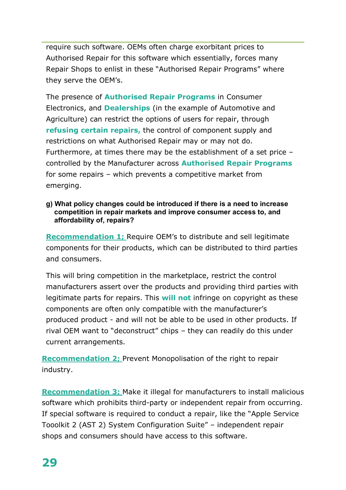require such software. OEMs often charge exorbitant prices to Authorised Repair for this software which essentially, forces many Repair Shops to enlist in these "Authorised Repair Programs" where they serve the OEM's.

The presence of **Authorised Repair Programs** in Consumer Electronics, and **Dealerships** (in the example of Automotive and Agriculture) can restrict the options of users for repair, through **refusing certain repairs,** the control of component supply and restrictions on what Authorised Repair may or may not do. Furthermore, at times there may be the establishment of a set price – controlled by the Manufacturer across **Authorised Repair Programs** for some repairs – which prevents a competitive market from emerging.

#### **g) What policy changes could be introduced if there is a need to increase competition in repair markets and improve consumer access to, and affordability of, repairs?**

**Recommendation 1;** Require OEM's to distribute and sell legitimate components for their products, which can be distributed to third parties and consumers.

This will bring competition in the marketplace, restrict the control manufacturers assert over the products and providing third parties with legitimate parts for repairs. This **will not** infringe on copyright as these components are often only compatible with the manufacturer's produced product - and will not be able to be used in other products. If rival OEM want to "deconstruct" chips – they can readily do this under current arrangements.

**Recommendation 2;** Prevent Monopolisation of the right to repair industry.

**Recommendation 3;** Make it illegal for manufacturers to install malicious software which prohibits third-party or independent repair from occurring. If special software is required to conduct a repair, like the "Apple Service Tooolkit 2 (AST 2) System Configuration Suite" – independent repair shops and consumers should have access to this software.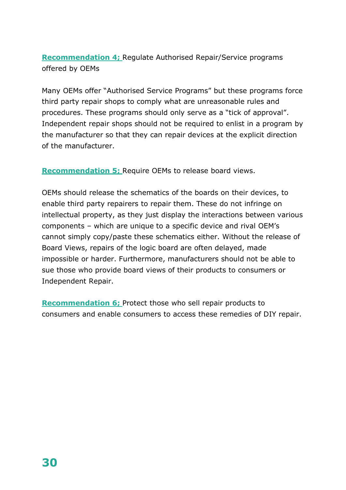**Recommendation 4;** Regulate Authorised Repair/Service programs offered by OEMs

Many OEMs offer "Authorised Service Programs" but these programs force third party repair shops to comply what are unreasonable rules and procedures. These programs should only serve as a "tick of approval". Independent repair shops should not be required to enlist in a program by the manufacturer so that they can repair devices at the explicit direction of the manufacturer.

**Recommendation 5;** Require OEMs to release board views.

OEMs should release the schematics of the boards on their devices, to enable third party repairers to repair them. These do not infringe on intellectual property, as they just display the interactions between various components – which are unique to a specific device and rival OEM's cannot simply copy/paste these schematics either. Without the release of Board Views, repairs of the logic board are often delayed, made impossible or harder. Furthermore, manufacturers should not be able to sue those who provide board views of their products to consumers or Independent Repair.

**Recommendation 6;** Protect those who sell repair products to consumers and enable consumers to access these remedies of DIY repair.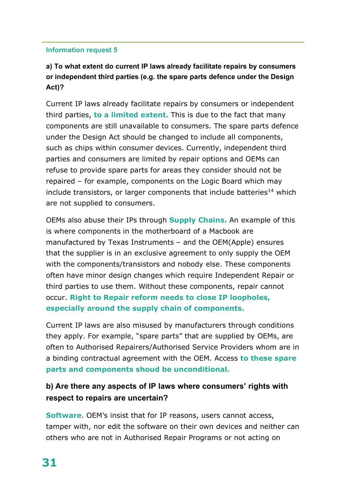# **a) To what extent do current IP laws already facilitate repairs by consumers or independent third parties (e.g. the spare parts defence under the Design Act)?**

Current IP laws already facilitate repairs by consumers or independent third parties, **to a limited extent.** This is due to the fact that many components are still unavailable to consumers. The spare parts defence under the Design Act should be changed to include all components, such as chips within consumer devices. Currently, independent third parties and consumers are limited by repair options and OEMs can refuse to provide spare parts for areas they consider should not be repaired – for example, components on the Logic Board which may include transistors, or larger components that include batteries<sup>[14](#page-6-3)</sup> which are not supplied to consumers.

OEMs also abuse their IPs through **Supply Chains.** An example of this is where components in the motherboard of a Macbook are manufactured by Texas Instruments – and the OEM(Apple) ensures that the supplier is in an exclusive agreement to only supply the OEM with the components/transistors and nobody else. These components often have minor design changes which require Independent Repair or third parties to use them. Without these components, repair cannot occur. **Right to Repair reform needs to close IP loopholes, especially around the supply chain of components.** 

Current IP laws are also misused by manufacturers through conditions they apply. For example, "spare parts" that are supplied by OEMs, are often to Authorised Repairers/Authorised Service Providers whom are in a binding contractual agreement with the OEM. Access **to these spare parts and components shoud be unconditional.** 

# **b) Are there any aspects of IP laws where consumers' rights with respect to repairs are uncertain?**

**Software**. OEM's insist that for IP reasons, users cannot access, tamper with, nor edit the software on their own devices and neither can others who are not in Authorised Repair Programs or not acting on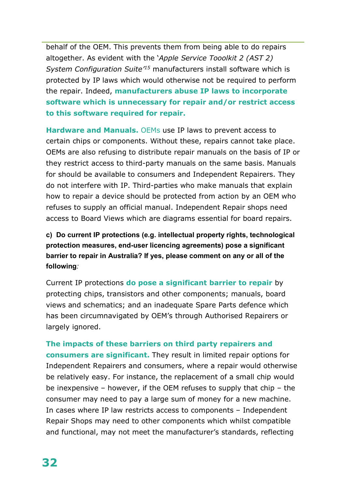behalf of the OEM. This prevents them from being able to do repairs altogether. As evident with the '*Apple Service Tooolkit 2 (AST 2) System Configuration Suite['15](#page-6-4)* manufacturers install software which is protected by IP laws which would otherwise not be required to perform the repair. Indeed, **manufacturers abuse IP laws to incorporate software which is unnecessary for repair and/or restrict access to this software required for repair.** 

**Hardware and Manuals.** OEMs use IP laws to prevent access to certain chips or components. Without these, repairs cannot take place. OEMs are also refusing to distribute repair manuals on the basis of IP or they restrict access to third-party manuals on the same basis. Manuals for should be available to consumers and Independent Repairers. They do not interfere with IP. Third-parties who make manuals that explain how to repair a device should be protected from action by an OEM who refuses to supply an official manual. Independent Repair shops need access to Board Views which are diagrams essential for board repairs.

**c) Do current IP protections (e.g. intellectual property rights, technological protection measures, end-user licencing agreements) pose a significant barrier to repair in Australia? If yes, please comment on any or all of the following***:*

Current IP protections **do pose a significant barrier to repair** by protecting chips, transistors and other components; manuals, board views and schematics; and an inadequate Spare Parts defence which has been circumnavigated by OEM's through Authorised Repairers or largely ignored.

**The impacts of these barriers on third party repairers and consumers are significant.** They result in limited repair options for Independent Repairers and consumers, where a repair would otherwise be relatively easy. For instance, the replacement of a small chip would be inexpensive – however, if the OEM refuses to supply that chip – the consumer may need to pay a large sum of money for a new machine. In cases where IP law restricts access to components – Independent Repair Shops may need to other components which whilst compatible and functional, may not meet the manufacturer's standards, reflecting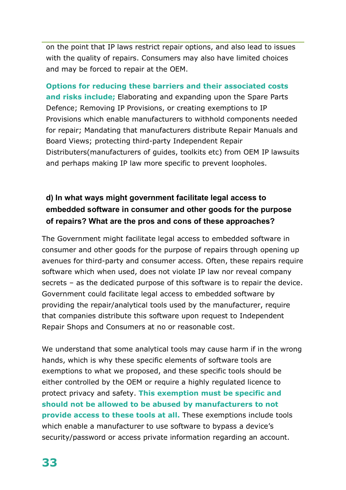on the point that IP laws restrict repair options, and also lead to issues with the quality of repairs. Consumers may also have limited choices and may be forced to repair at the OEM.

**Options for reducing these barriers and their associated costs and risks include;** Elaborating and expanding upon the Spare Parts Defence; Removing IP Provisions, or creating exemptions to IP Provisions which enable manufacturers to withhold components needed for repair; Mandating that manufacturers distribute Repair Manuals and Board Views; protecting third-party Independent Repair Distributers(manufacturers of guides, toolkits etc) from OEM IP lawsuits and perhaps making IP law more specific to prevent loopholes.

# **d) In what ways might government facilitate legal access to embedded software in consumer and other goods for the purpose of repairs? What are the pros and cons of these approaches?**

The Government might facilitate legal access to embedded software in consumer and other goods for the purpose of repairs through opening up avenues for third-party and consumer access. Often, these repairs require software which when used, does not violate IP law nor reveal company secrets – as the dedicated purpose of this software is to repair the device. Government could facilitate legal access to embedded software by providing the repair/analytical tools used by the manufacturer, require that companies distribute this software upon request to Independent Repair Shops and Consumers at no or reasonable cost.

We understand that some analytical tools may cause harm if in the wrong hands, which is why these specific elements of software tools are exemptions to what we proposed, and these specific tools should be either controlled by the OEM or require a highly regulated licence to protect privacy and safety. **This exemption must be specific and should not be allowed to be abused by manufacturers to not provide access to these tools at all.** These exemptions include tools which enable a manufacturer to use software to bypass a device's security/password or access private information regarding an account.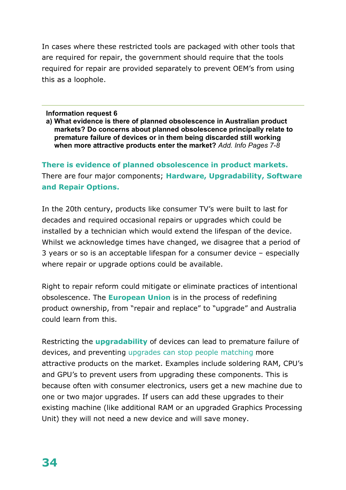In cases where these restricted tools are packaged with other tools that are required for repair, the government should require that the tools required for repair are provided separately to prevent OEM's from using this as a loophole.

#### **Information request 6**

**a) What evidence is there of planned obsolescence in Australian product markets? Do concerns about planned obsolescence principally relate to premature failure of devices or in them being discarded still working when more attractive products enter the market?** *Add. Info Pages 7-8*

**There is evidence of planned obsolescence in product markets.**  There are four major components; **Hardware, Upgradability, Software and Repair Options.** 

In the 20th century, products like consumer TV's were built to last for decades and required occasional repairs or upgrades which could be installed by a technician which would extend the lifespan of the device. Whilst we acknowledge times have changed, we disagree that a period of 3 years or so is an acceptable lifespan for a consumer device – especially where repair or upgrade options could be available.

Right to repair reform could mitigate or eliminate practices of intentional obsolescence. The **European Union** is in the process of redefining product ownership, from "repair and replace" to "upgrade" and Australia could learn from this.

Restricting the **upgradability** of devices can lead to premature failure of devices, and preventing upgrades can stop people matching more attractive products on the market. Examples include soldering RAM, CPU's and GPU's to prevent users from upgrading these components. This is because often with consumer electronics, users get a new machine due to one or two major upgrades. If users can add these upgrades to their existing machine (like additional RAM or an upgraded Graphics Processing Unit) they will not need a new device and will save money.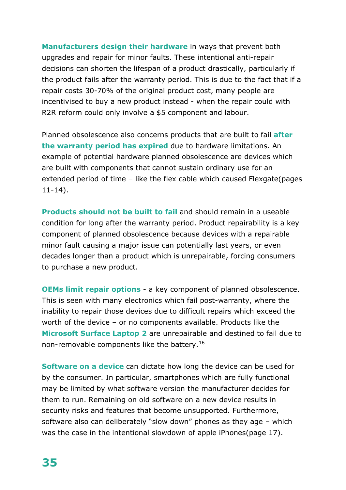**Manufacturers design their hardware** in ways that prevent both upgrades and repair for minor faults. These intentional anti-repair decisions can shorten the lifespan of a product drastically, particularly if the product fails after the warranty period. This is due to the fact that if a repair costs 30-70% of the original product cost, many people are incentivised to buy a new product instead - when the repair could with R2R reform could only involve a \$5 component and labour.

Planned obsolescence also concerns products that are built to fail **after the warranty period has expired** due to hardware limitations. An example of potential hardware planned obsolescence are devices which are built with components that cannot sustain ordinary use for an extended period of time – like the flex cable which caused Flexgate(pages 11-14).

**Products should not be built to fail** and should remain in a useable condition for long after the warranty period. Product repairability is a key component of planned obsolescence because devices with a repairable minor fault causing a major issue can potentially last years, or even decades longer than a product which is unrepairable, forcing consumers to purchase a new product.

**OEMs limit repair options** - a key component of planned obsolescence. This is seen with many electronics which fail post-warranty, where the inability to repair those devices due to difficult repairs which exceed the worth of the device – or no components available. Products like the **Microsoft Surface Laptop 2** are unrepairable and destined to fail due to non-removable components like the battery.[16](#page-6-5)

**Software on a device** can dictate how long the device can be used for by the consumer. In particular, smartphones which are fully functional may be limited by what software version the manufacturer decides for them to run. Remaining on old software on a new device results in security risks and features that become unsupported. Furthermore, software also can deliberately "slow down" phones as they age – which was the case in the intentional slowdown of apple iPhones(page 17).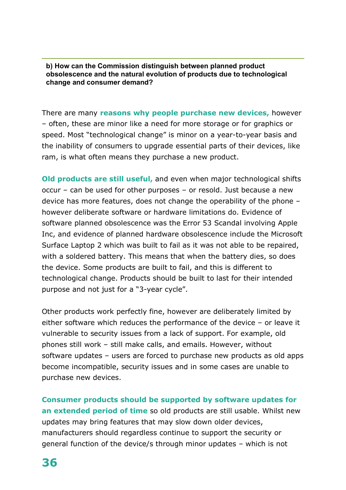**b) How can the Commission distinguish between planned product obsolescence and the natural evolution of products due to technological change and consumer demand?**

There are many **reasons why people purchase new devices,** however – often, these are minor like a need for more storage or for graphics or speed. Most "technological change" is minor on a year-to-year basis and the inability of consumers to upgrade essential parts of their devices, like ram, is what often means they purchase a new product.

**Old products are still useful,** and even when major technological shifts occur – can be used for other purposes – or resold. Just because a new device has more features, does not change the operability of the phone – however deliberate software or hardware limitations do. Evidence of software planned obsolescence was the Error 53 Scandal involving Apple Inc, and evidence of planned hardware obsolescence include the Microsoft Surface Laptop 2 which was built to fail as it was not able to be repaired, with a soldered battery. This means that when the battery dies, so does the device. Some products are built to fail, and this is different to technological change. Products should be built to last for their intended purpose and not just for a "3-year cycle".

Other products work perfectly fine, however are deliberately limited by either software which reduces the performance of the device – or leave it vulnerable to security issues from a lack of support. For example, old phones still work – still make calls, and emails. However, without software updates – users are forced to purchase new products as old apps become incompatible, security issues and in some cases are unable to purchase new devices.

**Consumer products should be supported by software updates for an extended period of time** so old products are still usable. Whilst new updates may bring features that may slow down older devices, manufacturers should regardless continue to support the security or general function of the device/s through minor updates – which is not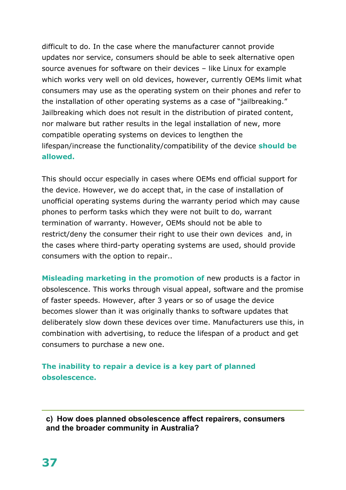difficult to do. In the case where the manufacturer cannot provide updates nor service, consumers should be able to seek alternative open source avenues for software on their devices – like Linux for example which works very well on old devices, however, currently OEMs limit what consumers may use as the operating system on their phones and refer to the installation of other operating systems as a case of "jailbreaking." Jailbreaking which does not result in the distribution of pirated content, nor malware but rather results in the legal installation of new, more compatible operating systems on devices to lengthen the lifespan/increase the functionality/compatibility of the device **should be allowed.** 

This should occur especially in cases where OEMs end official support for the device. However, we do accept that, in the case of installation of unofficial operating systems during the warranty period which may cause phones to perform tasks which they were not built to do, warrant termination of warranty. However, OEMs should not be able to restrict/deny the consumer their right to use their own devices and, in the cases where third-party operating systems are used, should provide consumers with the option to repair..

**Misleading marketing in the promotion of** new products is a factor in obsolescence. This works through visual appeal, software and the promise of faster speeds. However, after 3 years or so of usage the device becomes slower than it was originally thanks to software updates that deliberately slow down these devices over time. Manufacturers use this, in combination with advertising, to reduce the lifespan of a product and get consumers to purchase a new one.

**The inability to repair a device is a key part of planned obsolescence.**

**c) How does planned obsolescence affect repairers, consumers and the broader community in Australia?**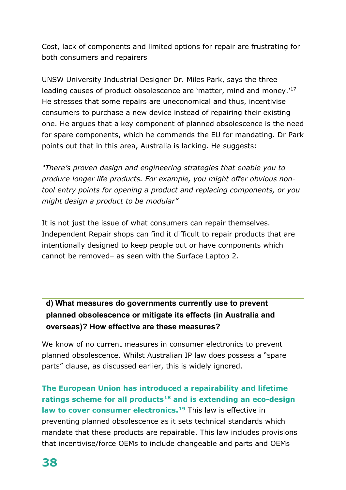Cost, lack of components and limited options for repair are frustrating for both consumers and repairers

UNSW University Industrial Designer Dr. Miles Park, says the three leading causes of product obsolescence are 'matter, mind and money.'<sup>[17](#page-6-6)</sup> He stresses that some repairs are uneconomical and thus, incentivise consumers to purchase a new device instead of repairing their existing one. He argues that a key component of planned obsolescence is the need for spare components, which he commends the EU for mandating. Dr Park points out that in this area, Australia is lacking. He suggests:

*"There's proven design and engineering strategies that enable you to produce longer life products. For example, you might offer obvious nontool entry points for opening a product and replacing components, or you might design a product to be modular"*

It is not just the issue of what consumers can repair themselves. Independent Repair shops can find it difficult to repair products that are intentionally designed to keep people out or have components which cannot be removed– as seen with the Surface Laptop 2.

# **d) What measures do governments currently use to prevent planned obsolescence or mitigate its effects (in Australia and overseas)? How effective are these measures?**

We know of no current measures in consumer electronics to prevent planned obsolescence. Whilst Australian IP law does possess a "spare parts" clause, as discussed earlier, this is widely ignored.

**The European Union has introduced a repairability and lifetime ratings scheme for all products[18](#page-6-7) and is extending an eco-design law to cover consumer electronics.[19](#page-6-8)** This law is effective in preventing planned obsolescence as it sets technical standards which mandate that these products are repairable. This law includes provisions that incentivise/force OEMs to include changeable and parts and OEMs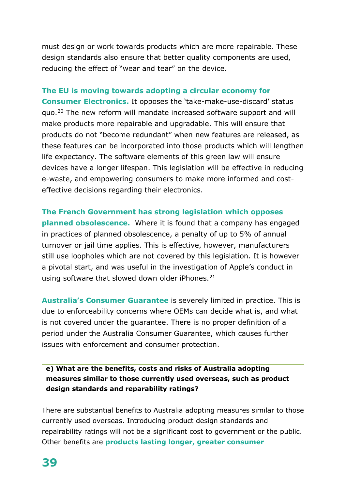must design or work towards products which are more repairable. These design standards also ensure that better quality components are used, reducing the effect of "wear and tear" on the device.

#### **The EU is moving towards adopting a circular economy for**

**Consumer Electronics.** It opposes the 'take-make-use-discard' status quo.[20](#page-6-9) The new reform will mandate increased software support and will make products more repairable and upgradable. This will ensure that products do not "become redundant" when new features are released, as these features can be incorporated into those products which will lengthen life expectancy. The software elements of this green law will ensure devices have a longer lifespan. This legislation will be effective in reducing e-waste, and empowering consumers to make more informed and costeffective decisions regarding their electronics.

**The French Government has strong legislation which opposes planned obsolescence.** Where it is found that a company has engaged in practices of planned obsolescence, a penalty of up to 5% of annual turnover or jail time applies. This is effective, however, manufacturers still use loopholes which are not covered by this legislation. It is however a pivotal start, and was useful in the investigation of Apple's conduct in using software that slowed down older iPhones. $21$ 

**Australia's Consumer Guarantee** is severely limited in practice. This is due to enforceability concerns where OEMs can decide what is, and what is not covered under the guarantee. There is no proper definition of a period under the Australia Consumer Guarantee, which causes further issues with enforcement and consumer protection.

**e) What are the benefits, costs and risks of Australia adopting measures similar to those currently used overseas, such as product design standards and reparability ratings?**

There are substantial benefits to Australia adopting measures similar to those currently used overseas. Introducing product design standards and repairability ratings will not be a significant cost to government or the public. Other benefits are **products lasting longer, greater consumer**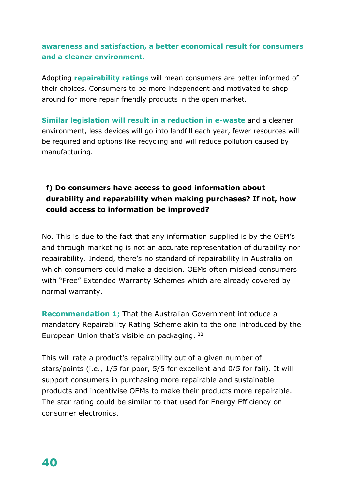# **awareness and satisfaction, a better economical result for consumers and a cleaner environment.**

Adopting **repairability ratings** will mean consumers are better informed of their choices. Consumers to be more independent and motivated to shop around for more repair friendly products in the open market.

**Similar legislation will result in a reduction in e-waste** and a cleaner environment, less devices will go into landfill each year, fewer resources will be required and options like recycling and will reduce pollution caused by manufacturing.

# **f) Do consumers have access to good information about durability and reparability when making purchases? If not, how could access to information be improved?**

No. This is due to the fact that any information supplied is by the OEM's and through marketing is not an accurate representation of durability nor repairability. Indeed, there's no standard of repairability in Australia on which consumers could make a decision. OEMs often mislead consumers with "Free" Extended Warranty Schemes which are already covered by normal warranty.

**Recommendation 1;** That the Australian Government introduce a mandatory Repairability Rating Scheme akin to the one introduced by the European Union that's visible on packaging. [22](#page-7-0)

This will rate a product's repairability out of a given number of stars/points (i.e., 1/5 for poor, 5/5 for excellent and 0/5 for fail). It will support consumers in purchasing more repairable and sustainable products and incentivise OEMs to make their products more repairable. The star rating could be similar to that used for Energy Efficiency on consumer electronics.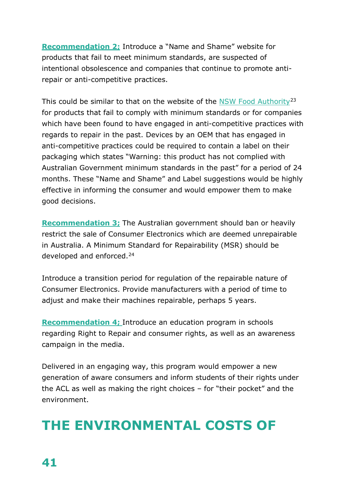**Recommendation 2;** Introduce a "Name and Shame" website for products that fail to meet minimum standards, are suspected of intentional obsolescence and companies that continue to promote antirepair or anti-competitive practices.

This could be similar to that on the website of the [NSW Food Authority](https://www.foodauthority.nsw.gov.au/offences)<sup>[23](#page-7-1)</sup> for products that fail to comply with minimum standards or for companies which have been found to have engaged in anti-competitive practices with regards to repair in the past. Devices by an OEM that has engaged in anti-competitive practices could be required to contain a label on their packaging which states "Warning: this product has not complied with Australian Government minimum standards in the past" for a period of 24 months. These "Name and Shame" and Label suggestions would be highly effective in informing the consumer and would empower them to make good decisions.

**Recommendation 3;** The Australian government should ban or heavily restrict the sale of Consumer Electronics which are deemed unrepairable in Australia. A Minimum Standard for Repairability (MSR) should be developed and enforced.[24](#page-7-2)

Introduce a transition period for regulation of the repairable nature of Consumer Electronics. Provide manufacturers with a period of time to adjust and make their machines repairable, perhaps 5 years.

**Recommendation 4;** Introduce an education program in schools regarding Right to Repair and consumer rights, as well as an awareness campaign in the media.

Delivered in an engaging way, this program would empower a new generation of aware consumers and inform students of their rights under the ACL as well as making the right choices – for "their pocket" and the environment.

# **THE ENVIRONMENTAL COSTS OF**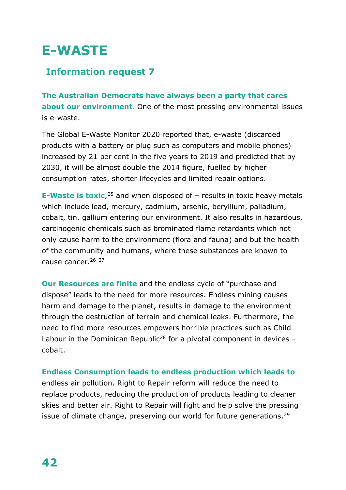# **E-WASTE**

# **Information request 7**

**The Australian Democrats have always been a party that cares about our environment**. One of the most pressing environmental issues is e-waste.

The Global E-Waste Monitor 2020 reported that, e-waste (discarded products with a battery or plug such as computers and mobile phones) increased by 21 per cent in the five years to 2019 and predicted that by 2030, it will be almost double the 2014 figure, fuelled by higher consumption rates, shorter lifecycles and limited repair options.

**E-Waste is toxic**,<sup>[25](#page-7-3)</sup> and when disposed of – results in toxic heavy metals which include lead, mercury, cadmium, arsenic, beryllium, palladium, cobalt, tin, gallium entering our environment. It also results in hazardous, carcinogenic chemicals such as brominated flame retardants which not only cause harm to the environment (flora and fauna) and but the health of the community and humans, where these substances are known to cause cancer.<sup>[26](#page-7-4)</sup> <sup>[27](#page-7-5)</sup>

**Our Resources are finite** and the endless cycle of "purchase and dispose" leads to the need for more resources. Endless mining causes harm and damage to the planet, results in damage to the environment through the destruction of terrain and chemical leaks. Furthermore, the need to find more resources empowers horrible practices such as Child Labour in the Dominican Republic<sup>28</sup> for a pivotal component in devices  $$ cobalt.

**Endless Consumption leads to endless production which leads to**  endless air pollution. Right to Repair reform will reduce the need to replace products, reducing the production of products leading to cleaner skies and better air. Right to Repair will fight and help solve the pressing issue of climate change, preserving our world for future generations.<sup>[29](#page-7-7)</sup>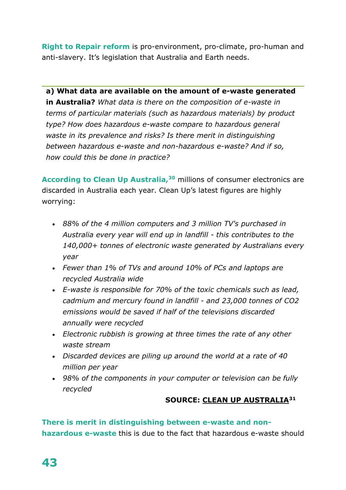**Right to Repair reform** is pro-environment, pro-climate, pro-human and anti-slavery. It's legislation that Australia and Earth needs.

**a) What data are available on the amount of e-waste generated in Australia?** *What data is there on the composition of e-waste in terms of particular materials (such as hazardous materials) by product type? How does hazardous e-waste compare to hazardous general waste in its prevalence and risks? Is there merit in distinguishing between hazardous e-waste and non-hazardous e-waste? And if so, how could this be done in practice?*

**According to Clean Up Australia,[30](#page-7-8)** millions of consumer electronics are discarded in Australia each year. Clean Up's latest figures are highly worrying:

- *88% of the 4 million computers and 3 million TV's purchased in Australia every year will end up in landfill - this contributes to the 140,000+ tonnes of electronic waste generated by Australians every year*
- *Fewer than 1% of TVs and around 10% of PCs and laptops are recycled Australia wide*
- *E-waste is responsible for 70% of the toxic chemicals such as lead, cadmium and mercury found in landfill - and 23,000 tonnes of CO2 emissions would be saved if half of the televisions discarded annually were recycled*
- *Electronic rubbish is growing at three times the rate of any other waste stream*
- *Discarded devices are piling up around the world at a rate of 40 million per year*
- *98% of the components in your computer or television can be fully recycled*

# **SOURCE: [CLEAN UP AUSTRALIA](https://www.cleanup.org.au/e-waste)[31](#page-7-9)**

**There is merit in distinguishing between e-waste and nonhazardous e-waste** this is due to the fact that hazardous e-waste should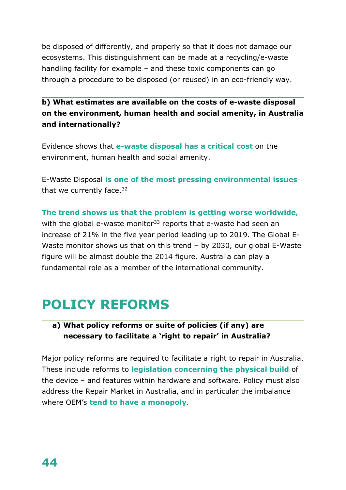be disposed of differently, and properly so that it does not damage our ecosystems. This distinguishment can be made at a recycling/e-waste handling facility for example – and these toxic components can go through a procedure to be disposed (or reused) in an eco-friendly way.

**b) What estimates are available on the costs of e-waste disposal on the environment, human health and social amenity, in Australia and internationally?**

Evidence shows that **e-waste disposal has a critical cost** on the environment, human health and social amenity.

E-Waste Disposal **is one of the most pressing environmental issues**  that we currently face. $32$ 

**The trend shows us that the problem is getting worse worldwide,**  with the global e-waste monitor<sup>[33](#page-7-11)</sup> reports that e-waste had seen an increase of 21% in the five year period leading up to 2019. The Global E-Waste monitor shows us that on this trend – by 2030, our global E-Waste figure will be almost double the 2014 figure. Australia can play a fundamental role as a member of the international community.

# **POLICY REFORMS**

# **a) What policy reforms or suite of policies (if any) are necessary to facilitate a 'right to repair' in Australia?**

Major policy reforms are required to facilitate a right to repair in Australia. These include reforms to **legislation concerning the physical build** of the device – and features within hardware and software. Policy must also address the Repair Market in Australia, and in particular the imbalance where OEM's **tend to have a monopoly**.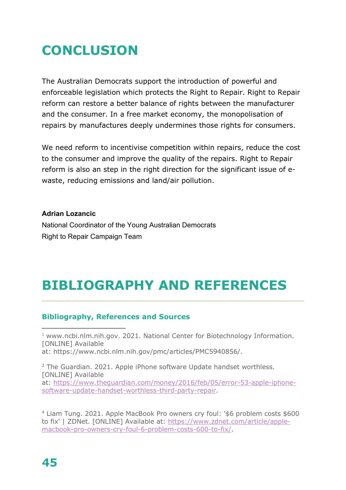# **CONCLUSION**

The Australian Democrats support the introduction of powerful and enforceable legislation which protects the Right to Repair. Right to Repair reform can restore a better balance of rights between the manufacturer and the consumer. In a free market economy, the monopolisation of repairs by manufactures deeply undermines those rights for consumers.

We need reform to incentivise competition within repairs, reduce the cost to the consumer and improve the quality of the repairs. Right to Repair reform is also an step in the right direction for the significant issue of ewaste, reducing emissions and land/air pollution.

#### **Adrian Lozancic**

National Coordinator of the Young Australian Democrats Right to Repair Campaign Team

# **BIBLIOGRAPHY AND REFERENCES**

## **Bibliography, References and Sources**

<sup>1</sup> www.ncbi.nlm.nih.gov. 2021. National Center for Biotechnology Information. [ONLINE] Available at: https://www.ncbi.nlm.nih.gov/pmc/articles/PMC5940856/.

<sup>2</sup> The Guardian. 2021. Apple iPhone software Update handset worthless. [ONLINE] Available at: [https://www.theguardian.com/money/2016/feb/05/error-53-apple-iphone](https://www.theguardian.com/money/2016/feb/05/error-53-apple-iphone-software-update-handset-worthless-third-party-repair)[software-update-handset-worthless-third-party-repair.](https://www.theguardian.com/money/2016/feb/05/error-53-apple-iphone-software-update-handset-worthless-third-party-repair)

<sup>4</sup> Liam Tung. 2021. Apple MacBook Pro owners cry foul: '\$6 problem costs \$600 to fix' | ZDNet. [ONLINE] Available at: [https://www.zdnet.com/article/apple](https://www.zdnet.com/article/apple-macbook-pro-owners-cry-foul-6-problem-costs-600-to-fix/)[macbook-pro-owners-cry-foul-6-problem-costs-600-to-fix/.](https://www.zdnet.com/article/apple-macbook-pro-owners-cry-foul-6-problem-costs-600-to-fix/)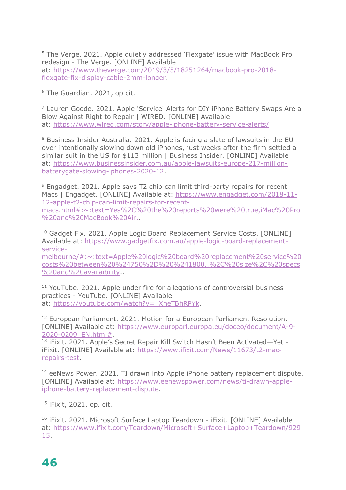<sup>5</sup> The Verge. 2021. Apple quietly addressed 'Flexgate' issue with MacBook Pro redesign - The Verge. [ONLINE] Available at: [https://www.theverge.com/2019/3/5/18251264/macbook-pro-2018](https://www.theverge.com/2019/3/5/18251264/macbook-pro-2018-flexgate-fix-display-cable-2mm-longer) [flexgate-fix-display-cable-2mm-longer.](https://www.theverge.com/2019/3/5/18251264/macbook-pro-2018-flexgate-fix-display-cable-2mm-longer)

<sup>6</sup> The Guardian. 2021, op cit.

<sup>7</sup> Lauren Goode. 2021. Apple 'Service' Alerts for DIY iPhone Battery Swaps Are a Blow Against Right to Repair | WIRED. [ONLINE] Available at: <https://www.wired.com/story/apple-iphone-battery-service-alerts/>

<sup>8</sup> Business Insider Australia. 2021. Apple is facing a slate of lawsuits in the EU over intentionally slowing down old iPhones, just weeks after the firm settled a similar suit in the US for \$113 million | Business Insider. [ONLINE] Available at: [https://www.businessinsider.com.au/apple-lawsuits-europe-217-million](https://www.businessinsider.com.au/apple-lawsuits-europe-217-million-batterygate-slowing-iphones-2020-12)[batterygate-slowing-iphones-2020-12.](https://www.businessinsider.com.au/apple-lawsuits-europe-217-million-batterygate-slowing-iphones-2020-12)

<sup>9</sup> Engadget. 2021. Apple says T2 chip can limit third-party repairs for recent Macs | Engadget. [ONLINE] Available at: [https://www.engadget.com/2018-11-](https://www.engadget.com/2018-11-12-apple-t2-chip-can-limit-repairs-for-recent-macs.html#:%7E:text=Yes%2C%20the%20reports%20were%20true,iMac%20Pro%20and%20MacBook%20Air.) [12-apple-t2-chip-can-limit-repairs-for-recent](https://www.engadget.com/2018-11-12-apple-t2-chip-can-limit-repairs-for-recent-macs.html#:%7E:text=Yes%2C%20the%20reports%20were%20true,iMac%20Pro%20and%20MacBook%20Air.)[macs.html#:~:text=Yes%2C%20the%20reports%20were%20true,iMac%20Pro](https://www.engadget.com/2018-11-12-apple-t2-chip-can-limit-repairs-for-recent-macs.html#:%7E:text=Yes%2C%20the%20reports%20were%20true,iMac%20Pro%20and%20MacBook%20Air.) [%20and%20MacBook%20Air..](https://www.engadget.com/2018-11-12-apple-t2-chip-can-limit-repairs-for-recent-macs.html#:%7E:text=Yes%2C%20the%20reports%20were%20true,iMac%20Pro%20and%20MacBook%20Air.)

<sup>10</sup> Gadget Fix. 2021. Apple Logic Board Replacement Service Costs. [ONLINE] Available at: [https://www.gadgetfix.com.au/apple-logic-board-replacement](https://www.gadgetfix.com.au/apple-logic-board-replacement-service-melbourne/#:%7E:text=Apple%20logic%20board%20replacement%20service%20costs%20between%20%24750%2D%20%241800.,%2C%20size%2C%20specs%20and%20availaibility)[service-](https://www.gadgetfix.com.au/apple-logic-board-replacement-service-melbourne/#:%7E:text=Apple%20logic%20board%20replacement%20service%20costs%20between%20%24750%2D%20%241800.,%2C%20size%2C%20specs%20and%20availaibility)

[melbourne/#:~:text=Apple%20logic%20board%20replacement%20service%20](https://www.gadgetfix.com.au/apple-logic-board-replacement-service-melbourne/#:%7E:text=Apple%20logic%20board%20replacement%20service%20costs%20between%20%24750%2D%20%241800.,%2C%20size%2C%20specs%20and%20availaibility) [costs%20between%20%24750%2D%20%241800.,%2C%20size%2C%20specs](https://www.gadgetfix.com.au/apple-logic-board-replacement-service-melbourne/#:%7E:text=Apple%20logic%20board%20replacement%20service%20costs%20between%20%24750%2D%20%241800.,%2C%20size%2C%20specs%20and%20availaibility) [%20and%20availaibility.](https://www.gadgetfix.com.au/apple-logic-board-replacement-service-melbourne/#:%7E:text=Apple%20logic%20board%20replacement%20service%20costs%20between%20%24750%2D%20%241800.,%2C%20size%2C%20specs%20and%20availaibility).

<sup>11</sup> YouTube. 2021. Apple under fire for allegations of controversial business practices - YouTube. [ONLINE] Available at: [https://youtube.com/watch?v=\\_XneTBhRPYk.](https://youtube.com/watch?v=_XneTBhRPYk)

<sup>12</sup> European Parliament, 2021. Motion for a European Parliament Resolution. [ONLINE] Available at: [https://www.europarl.europa.eu/doceo/document/A-9-](https://www.europarl.europa.eu/doceo/document/A-9-2020-0209_EN.html) [2020-0209\\_EN.html#.](https://www.europarl.europa.eu/doceo/document/A-9-2020-0209_EN.html)

13 iFixit. 2021. Apple's Secret Repair Kill Switch Hasn't Been Activated-Yet iFixit. [ONLINE] Available at: [https://www.ifixit.com/News/11673/t2-mac](https://www.ifixit.com/News/11673/t2-mac-repairs-test)[repairs-test.](https://www.ifixit.com/News/11673/t2-mac-repairs-test)

<sup>14</sup> eeNews Power. 2021. TI drawn into Apple iPhone battery replacement dispute. [ONLINE] Available at: [https://www.eenewspower.com/news/ti-drawn-apple](https://www.eenewspower.com/news/ti-drawn-apple-iphone-battery-replacement-dispute)[iphone-battery-replacement-dispute.](https://www.eenewspower.com/news/ti-drawn-apple-iphone-battery-replacement-dispute)

<sup>15</sup> iFixit, 2021. op. cit.

<sup>16</sup> iFixit. 2021. Microsoft Surface Laptop Teardown - iFixit. [ONLINE] Available at: [https://www.ifixit.com/Teardown/Microsoft+Surface+Laptop+Teardown/929](https://www.ifixit.com/Teardown/Microsoft+Surface+Laptop+Teardown/92915) [15.](https://www.ifixit.com/Teardown/Microsoft+Surface+Laptop+Teardown/92915)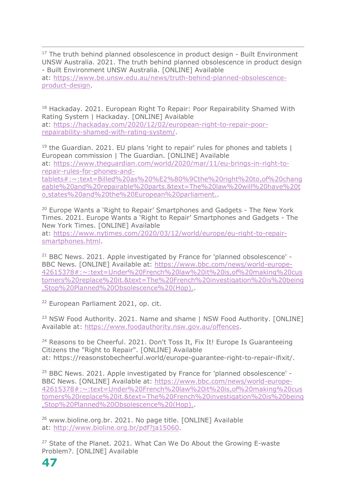$17$  The truth behind planned obsolescence in product design - Built Environment UNSW Australia. 2021. The truth behind planned obsolescence in product design - Built Environment UNSW Australia. [ONLINE] Available at: [https://www.be.unsw.edu.au/news/truth-behind-planned-obsolescence](https://www.be.unsw.edu.au/news/truth-behind-planned-obsolescence-product-design)[product-design.](https://www.be.unsw.edu.au/news/truth-behind-planned-obsolescence-product-design)

<sup>18</sup> Hackaday. 2021. European Right To Repair: Poor Repairability Shamed With Rating System | Hackaday. [ONLINE] Available at: [https://hackaday.com/2020/12/02/european-right-to-repair-poor](https://hackaday.com/2020/12/02/european-right-to-repair-poor-repairability-shamed-with-rating-system/)[repairability-shamed-with-rating-system/.](https://hackaday.com/2020/12/02/european-right-to-repair-poor-repairability-shamed-with-rating-system/)

 $19$  the Guardian. 2021. EU plans 'right to repair' rules for phones and tablets  $\parallel$ European commission | The Guardian. [ONLINE] Available at: [https://www.theguardian.com/world/2020/mar/11/eu-brings-in-right-to](https://www.theguardian.com/world/2020/mar/11/eu-brings-in-right-to-repair-rules-for-phones-and-tablets#:%7E:text=Billed%20as%20%E2%80%9Cthe%20right%20to,of%20changeable%20and%20repairable%20parts.&text=The%20law%20will%20have%20to,states%20and%20the%20European%20parliament.)[repair-rules-for-phones-and](https://www.theguardian.com/world/2020/mar/11/eu-brings-in-right-to-repair-rules-for-phones-and-tablets#:%7E:text=Billed%20as%20%E2%80%9Cthe%20right%20to,of%20changeable%20and%20repairable%20parts.&text=The%20law%20will%20have%20to,states%20and%20the%20European%20parliament.)[tablets#:~:text=Billed%20as%20%E2%80%9Cthe%20right%20to,of%20chang](https://www.theguardian.com/world/2020/mar/11/eu-brings-in-right-to-repair-rules-for-phones-and-tablets#:%7E:text=Billed%20as%20%E2%80%9Cthe%20right%20to,of%20changeable%20and%20repairable%20parts.&text=The%20law%20will%20have%20to,states%20and%20the%20European%20parliament.) [eable%20and%20repairable%20parts.&text=The%20law%20will%20have%20t](https://www.theguardian.com/world/2020/mar/11/eu-brings-in-right-to-repair-rules-for-phones-and-tablets#:%7E:text=Billed%20as%20%E2%80%9Cthe%20right%20to,of%20changeable%20and%20repairable%20parts.&text=The%20law%20will%20have%20to,states%20and%20the%20European%20parliament.) [o,states%20and%20the%20European%20parliament..](https://www.theguardian.com/world/2020/mar/11/eu-brings-in-right-to-repair-rules-for-phones-and-tablets#:%7E:text=Billed%20as%20%E2%80%9Cthe%20right%20to,of%20changeable%20and%20repairable%20parts.&text=The%20law%20will%20have%20to,states%20and%20the%20European%20parliament.)

<sup>20</sup> Europe Wants a 'Right to Repair' Smartphones and Gadgets - The New York Times. 2021. Europe Wants a 'Right to Repair' Smartphones and Gadgets - The New York Times. [ONLINE] Available at: [https://www.nytimes.com/2020/03/12/world/europe/eu-right-to-repair](https://www.nytimes.com/2020/03/12/world/europe/eu-right-to-repair-smartphones.html)[smartphones.html.](https://www.nytimes.com/2020/03/12/world/europe/eu-right-to-repair-smartphones.html)

<sup>21</sup> BBC News. 2021. Apple investigated by France for 'planned obsolescence' -BBC News. [ONLINE] Available at: [https://www.bbc.com/news/world-europe-](https://www.bbc.com/news/world-europe-42615378#:%7E:text=Under%20French%20law%20it%20is,of%20making%20customers%20replace%20it.&text=The%20French%20investigation%20is%20being,Stop%20Planned%20Obsolescence%20(Hop).)[42615378#:~:text=Under%20French%20law%20it%20is,of%20making%20cus](https://www.bbc.com/news/world-europe-42615378#:%7E:text=Under%20French%20law%20it%20is,of%20making%20customers%20replace%20it.&text=The%20French%20investigation%20is%20being,Stop%20Planned%20Obsolescence%20(Hop).) [tomers%20replace%20it.&text=The%20French%20investigation%20is%20being](https://www.bbc.com/news/world-europe-42615378#:%7E:text=Under%20French%20law%20it%20is,of%20making%20customers%20replace%20it.&text=The%20French%20investigation%20is%20being,Stop%20Planned%20Obsolescence%20(Hop).) [,Stop%20Planned%20Obsolescence%20\(Hop\)..](https://www.bbc.com/news/world-europe-42615378#:%7E:text=Under%20French%20law%20it%20is,of%20making%20customers%20replace%20it.&text=The%20French%20investigation%20is%20being,Stop%20Planned%20Obsolescence%20(Hop).)

<sup>22</sup> European Parliament 2021, op. cit.

<sup>23</sup> NSW Food Authority, 2021. Name and shame I NSW Food Authority. [ONLINE] Available at: [https://www.foodauthority.nsw.gov.au/offences.](https://www.foodauthority.nsw.gov.au/offences)

<sup>24</sup> Reasons to be Cheerful. 2021. Don't Toss It, Fix It! Europe Is Guaranteeing Citizens the "Right to Repair". [ONLINE] Available at: https://reasonstobecheerful.world/europe-guarantee-right-to-repair-ifixit/.

<sup>25</sup> BBC News. 2021. Apple investigated by France for 'planned obsolescence' - BBC News. [ONLINE] Available at: [https://www.bbc.com/news/world-europe-](https://www.bbc.com/news/world-europe-42615378#:%7E:text=Under%20French%20law%20it%20is,of%20making%20customers%20replace%20it.&text=The%20French%20investigation%20is%20being,Stop%20Planned%20Obsolescence%20(Hop).)[42615378#:~:text=Under%20French%20law%20it%20is,of%20making%20cus](https://www.bbc.com/news/world-europe-42615378#:%7E:text=Under%20French%20law%20it%20is,of%20making%20customers%20replace%20it.&text=The%20French%20investigation%20is%20being,Stop%20Planned%20Obsolescence%20(Hop).) [tomers%20replace%20it.&text=The%20French%20investigation%20is%20being](https://www.bbc.com/news/world-europe-42615378#:%7E:text=Under%20French%20law%20it%20is,of%20making%20customers%20replace%20it.&text=The%20French%20investigation%20is%20being,Stop%20Planned%20Obsolescence%20(Hop).) [,Stop%20Planned%20Obsolescence%20\(Hop\)..](https://www.bbc.com/news/world-europe-42615378#:%7E:text=Under%20French%20law%20it%20is,of%20making%20customers%20replace%20it.&text=The%20French%20investigation%20is%20being,Stop%20Planned%20Obsolescence%20(Hop).)

<sup>26</sup> www.bioline.org.br. 2021. No page title. [ONLINE] Available at: [http://www.bioline.org.br/pdf?ja15060.](http://www.bioline.org.br/pdf?ja15060)

<sup>27</sup> State of the Planet. 2021. What Can We Do About the Growing E-waste Problem?. [ONLINE] Available